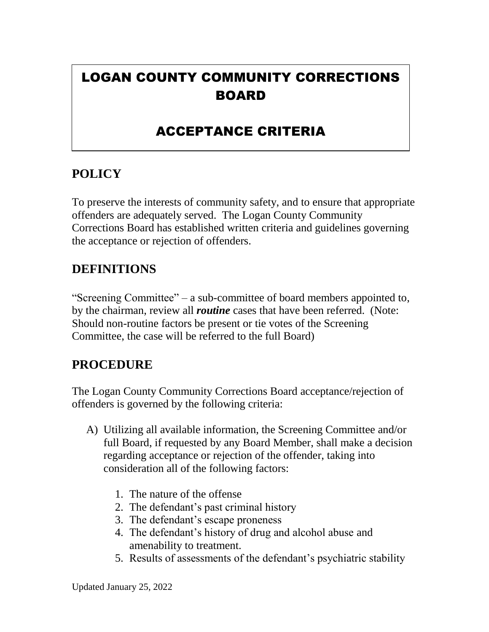# LOGAN COUNTY COMMUNITY CORRECTIONS BOARD

## ACCEPTANCE CRITERIA

## **POLICY**

To preserve the interests of community safety, and to ensure that appropriate offenders are adequately served. The Logan County Community Corrections Board has established written criteria and guidelines governing the acceptance or rejection of offenders.

### **DEFINITIONS**

"Screening Committee" – a sub-committee of board members appointed to, by the chairman, review all *routine* cases that have been referred. (Note: Should non-routine factors be present or tie votes of the Screening Committee, the case will be referred to the full Board)

### **PROCEDURE**

The Logan County Community Corrections Board acceptance/rejection of offenders is governed by the following criteria:

- A) Utilizing all available information, the Screening Committee and/or full Board, if requested by any Board Member, shall make a decision regarding acceptance or rejection of the offender, taking into consideration all of the following factors:
	- 1. The nature of the offense
	- 2. The defendant's past criminal history
	- 3. The defendant's escape proneness
	- 4. The defendant's history of drug and alcohol abuse and amenability to treatment.
	- 5. Results of assessments of the defendant's psychiatric stability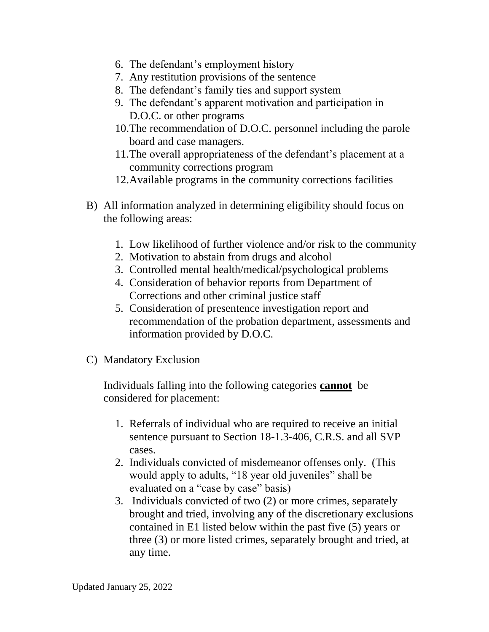- 6. The defendant's employment history
- 7. Any restitution provisions of the sentence
- 8. The defendant's family ties and support system
- 9. The defendant's apparent motivation and participation in D.O.C. or other programs
- 10.The recommendation of D.O.C. personnel including the parole board and case managers.
- 11.The overall appropriateness of the defendant's placement at a community corrections program
- 12.Available programs in the community corrections facilities
- B) All information analyzed in determining eligibility should focus on the following areas:
	- 1. Low likelihood of further violence and/or risk to the community
	- 2. Motivation to abstain from drugs and alcohol
	- 3. Controlled mental health/medical/psychological problems
	- 4. Consideration of behavior reports from Department of Corrections and other criminal justice staff
	- 5. Consideration of presentence investigation report and recommendation of the probation department, assessments and information provided by D.O.C.
- C) Mandatory Exclusion

Individuals falling into the following categories **cannot** be considered for placement:

- 1. Referrals of individual who are required to receive an initial sentence pursuant to Section 18-1.3-406, C.R.S. and all SVP cases.
- 2. Individuals convicted of misdemeanor offenses only. (This would apply to adults, "18 year old juveniles" shall be evaluated on a "case by case" basis)
- 3. Individuals convicted of two (2) or more crimes, separately brought and tried, involving any of the discretionary exclusions contained in E1 listed below within the past five (5) years or three (3) or more listed crimes, separately brought and tried, at any time.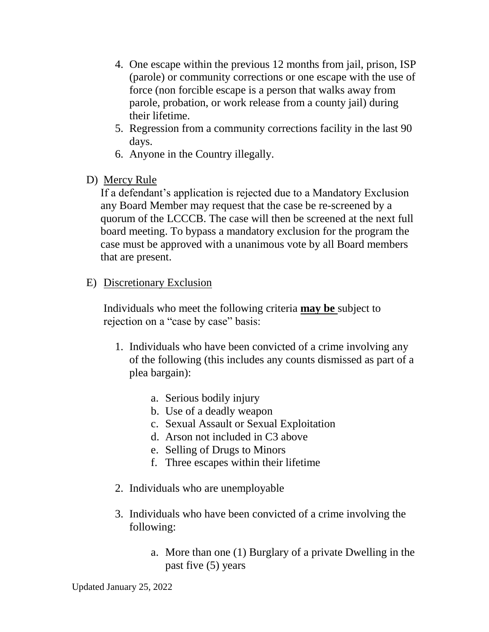- 4. One escape within the previous 12 months from jail, prison, ISP (parole) or community corrections or one escape with the use of force (non forcible escape is a person that walks away from parole, probation, or work release from a county jail) during their lifetime.
- 5. Regression from a community corrections facility in the last 90 days.
- 6. Anyone in the Country illegally.
- D) Mercy Rule

If a defendant's application is rejected due to a Mandatory Exclusion any Board Member may request that the case be re-screened by a quorum of the LCCCB. The case will then be screened at the next full board meeting. To bypass a mandatory exclusion for the program the case must be approved with a unanimous vote by all Board members that are present.

E) Discretionary Exclusion

Individuals who meet the following criteria **may be** subject to rejection on a "case by case" basis:

- 1. Individuals who have been convicted of a crime involving any of the following (this includes any counts dismissed as part of a plea bargain):
	- a. Serious bodily injury
	- b. Use of a deadly weapon
	- c. Sexual Assault or Sexual Exploitation
	- d. Arson not included in C3 above
	- e. Selling of Drugs to Minors
	- f. Three escapes within their lifetime
- 2. Individuals who are unemployable
- 3. Individuals who have been convicted of a crime involving the following:
	- a. More than one (1) Burglary of a private Dwelling in the past five (5) years